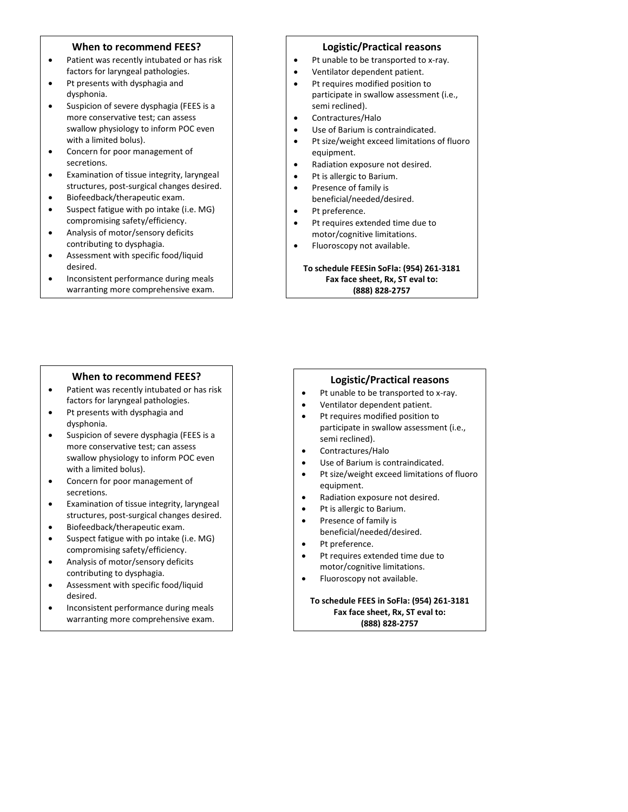## **When to recommend FEES?**

- Patient was recently intubated or has risk factors for laryngeal pathologies.
- • Pt presents with dysphagia and dysphonia.
- Suspicion of severe dysphagia (FEES is a more conservative test; can assess swallow physiology to inform POC even with a limited bolus).
- Concern for poor management of secretions.
- Examination of tissue integrity, laryngeal structures, post-surgical changes desired.
- Biofeedback/therapeutic exam.
- Suspect fatigue with po intake (i.e. MG) compromising safety/efficiency.
- Analysis of motor/sensory deficits contributing to dysphagia.
- Assessment with specific food/liquid desired.
- Inconsistent performance during meals warranting more comprehensive exam.

#### **When to recommend FEES?**

- Patient was recently intubated or has risk factors for laryngeal pathologies.
- Pt presents with dysphagia and dysphonia.
- Suspicion of severe dysphagia (FEES is a more conservative test; can assess swallow physiology to inform POC even with a limited bolus).
- Concern for poor management of secretions.
- Examination of tissue integrity, laryngeal structures, post-surgical changes desired.
- Biofeedback/therapeutic exam.
- Suspect fatigue with po intake (i.e. MG) compromising safety/efficiency.
- Analysis of motor/sensory deficits contributing to dysphagia.
- Assessment with specific food/liquid desired.
- Inconsistent performance during meals warranting more comprehensive exam.

### **Logistic/Practical reasons**

- Pt unable to be transported to x-ray.
- Ventilator dependent patient.
- Pt requires modified position to participate in swallow assessment (i.e., semi reclined).
- Contractures/Halo
- Use of Barium is contraindicated.
- Pt size/weight exceed limitations of fluoro equipment.
- Radiation exposure not desired.
- Pt is allergic to Barium.
- Presence of family is beneficial/needed/desired.
- Pt preference.
- Pt requires extended time due to motor/cognitive limitations.
- Fluoroscopy not available.

**To schedule FEESin SoFla: (954) 261-3181 Fax face sheet, Rx, ST eval to: (888) 828-2757**

## **Logistic/Practical reasons**

- Pt unable to be transported to x-ray.
- Ventilator dependent patient.
- Pt requires modified position to participate in swallow assessment (i.e., semi reclined).
- Contractures/Halo
- Use of Barium is contraindicated.
- Pt size/weight exceed limitations of fluoro equipment.
- Radiation exposure not desired.
- Pt is allergic to Barium.
- Presence of family is beneficial/needed/desired.
- Pt preference.
- Pt requires extended time due to motor/cognitive limitations.
- Fluoroscopy not available.

### **To schedule FEES in SoFla: (954) 261-3181 Fax face sheet, Rx, ST eval to: (888) 828-2757**